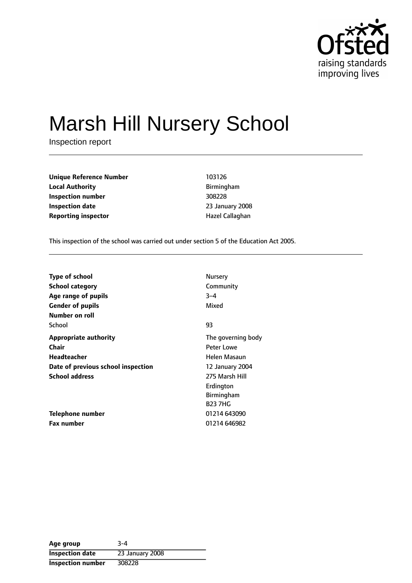

# Marsh Hill Nursery School

Inspection report

| <b>Unique Reference Number</b> | 103126          |
|--------------------------------|-----------------|
| <b>Local Authority</b>         | Birmingham      |
| Inspection number              | 308228          |
| <b>Inspection date</b>         | 23 January 2008 |
| <b>Reporting inspector</b>     | Hazel Callaghan |

**Local Authority** Birmingham **Inspection number** 308228 **Inspection date** 23 January 2008

This inspection of the school was carried out under section 5 of the Education Act 2005.

| <b>Type of school</b>              | Nursery            |
|------------------------------------|--------------------|
| <b>School category</b>             | Community          |
| Age range of pupils                | $3 - 4$            |
| <b>Gender of pupils</b>            | Mixed              |
| Number on roll                     |                    |
| School                             | 93                 |
| <b>Appropriate authority</b>       | The governing body |
| Chair                              | <b>Peter Lowe</b>  |
| Headteacher                        | Helen Masaun       |
| Date of previous school inspection | 12 January 2004    |
| <b>School address</b>              | 275 Marsh Hill     |
|                                    | Erdington          |
|                                    | Birmingham         |
|                                    | <b>B23 7HG</b>     |
| Telephone number                   | 01214 643090       |
| <b>Fax number</b>                  | 01214 646982       |

| Age group                | $3 - 4$         |
|--------------------------|-----------------|
| <b>Inspection date</b>   | 23 January 2008 |
| <b>Inspection number</b> | 308228          |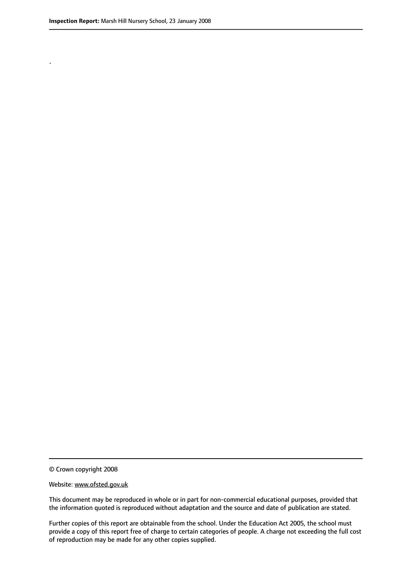.

© Crown copyright 2008

#### Website: www.ofsted.gov.uk

This document may be reproduced in whole or in part for non-commercial educational purposes, provided that the information quoted is reproduced without adaptation and the source and date of publication are stated.

Further copies of this report are obtainable from the school. Under the Education Act 2005, the school must provide a copy of this report free of charge to certain categories of people. A charge not exceeding the full cost of reproduction may be made for any other copies supplied.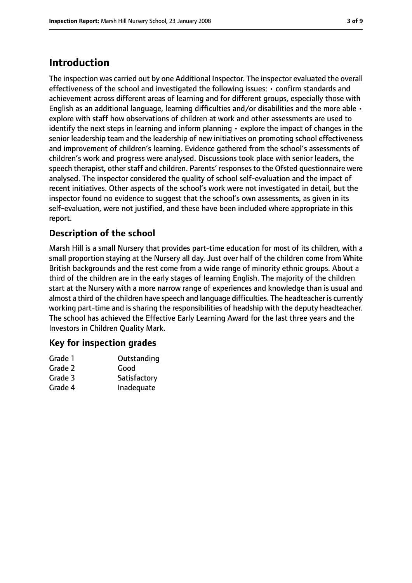# **Introduction**

The inspection was carried out by one Additional Inspector. The inspector evaluated the overall effectiveness of the school and investigated the following issues: • confirm standards and achievement across different areas of learning and for different groups, especially those with English as an additional language, learning difficulties and/or disabilities and the more able  $\cdot$ explore with staff how observations of children at work and other assessments are used to identify the next steps in learning and inform planning • explore the impact of changes in the senior leadership team and the leadership of new initiatives on promoting school effectiveness and improvement of children's learning. Evidence gathered from the school's assessments of children's work and progress were analysed. Discussions took place with senior leaders, the speech therapist, other staff and children. Parents' responses to the Ofsted questionnaire were analysed. The inspector considered the quality of school self-evaluation and the impact of recent initiatives. Other aspects of the school's work were not investigated in detail, but the inspector found no evidence to suggest that the school's own assessments, as given in its self-evaluation, were not justified, and these have been included where appropriate in this report.

## **Description of the school**

Marsh Hill is a small Nursery that provides part-time education for most of its children, with a small proportion staying at the Nursery all day. Just over half of the children come from White British backgrounds and the rest come from a wide range of minority ethnic groups. About a third of the children are in the early stages of learning English. The majority of the children start at the Nursery with a more narrow range of experiences and knowledge than is usual and almost a third of the children have speech and language difficulties. The headteacher is currently working part-time and is sharing the responsibilities of headship with the deputy headteacher. The school has achieved the Effective Early Learning Award for the last three years and the Investors in Children Quality Mark.

#### **Key for inspection grades**

| Grade 1 | Outstanding  |
|---------|--------------|
| Grade 2 | Good         |
| Grade 3 | Satisfactory |
| Grade 4 | Inadequate   |
|         |              |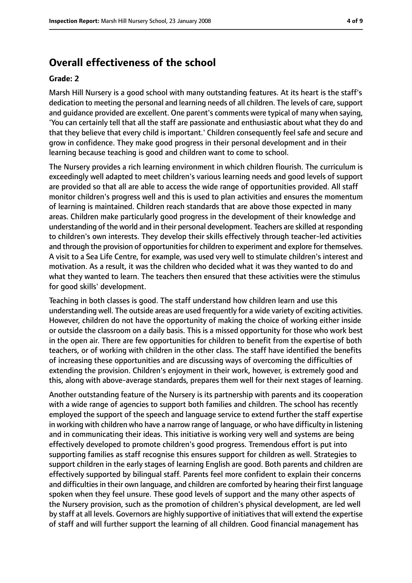# **Overall effectiveness of the school**

#### **Grade: 2**

Marsh Hill Nursery is a good school with many outstanding features. At its heart is the staff's dedication to meeting the personal and learning needs of all children. The levels of care, support and guidance provided are excellent. One parent's comments were typical of many when saying, 'You can certainly tell that all the staff are passionate and enthusiastic about what they do and that they believe that every child is important.' Children consequently feel safe and secure and grow in confidence. They make good progress in their personal development and in their learning because teaching is good and children want to come to school.

The Nursery provides a rich learning environment in which children flourish. The curriculum is exceedingly well adapted to meet children's various learning needs and good levels of support are provided so that all are able to access the wide range of opportunities provided. All staff monitor children's progress well and this is used to plan activities and ensures the momentum of learning is maintained. Children reach standards that are above those expected in many areas. Children make particularly good progress in the development of their knowledge and understanding of the world and in their personal development. Teachers are skilled at responding to children's own interests. They develop their skills effectively through teacher-led activities and through the provision of opportunities for children to experiment and explore for themselves. A visit to a Sea Life Centre, for example, was used very well to stimulate children's interest and motivation. As a result, it was the children who decided what it was they wanted to do and what they wanted to learn. The teachers then ensured that these activities were the stimulus for good skills' development.

Teaching in both classes is good. The staff understand how children learn and use this understanding well. The outside areas are used frequently for a wide variety of exciting activities. However, children do not have the opportunity of making the choice of working either inside or outside the classroom on a daily basis. This is a missed opportunity for those who work best in the open air. There are few opportunities for children to benefit from the expertise of both teachers, or of working with children in the other class. The staff have identified the benefits of increasing these opportunities and are discussing ways of overcoming the difficulties of extending the provision. Children's enjoyment in their work, however, is extremely good and this, along with above-average standards, prepares them well for their next stages of learning.

Another outstanding feature of the Nursery is its partnership with parents and its cooperation with a wide range of agencies to support both families and children. The school has recently employed the support of the speech and language service to extend further the staff expertise in working with children who have a narrow range of language, or who have difficulty in listening and in communicating their ideas. This initiative is working very well and systems are being effectively developed to promote children's good progress. Tremendous effort is put into supporting families as staff recognise this ensures support for children as well. Strategies to support children in the early stages of learning English are good. Both parents and children are effectively supported by bilingual staff. Parents feel more confident to explain their concerns and difficulties in their own language, and children are comforted by hearing their first language spoken when they feel unsure. These good levels of support and the many other aspects of the Nursery provision, such as the promotion of children's physical development, are led well by staff at all levels. Governors are highly supportive of initiativesthat will extend the expertise of staff and will further support the learning of all children. Good financial management has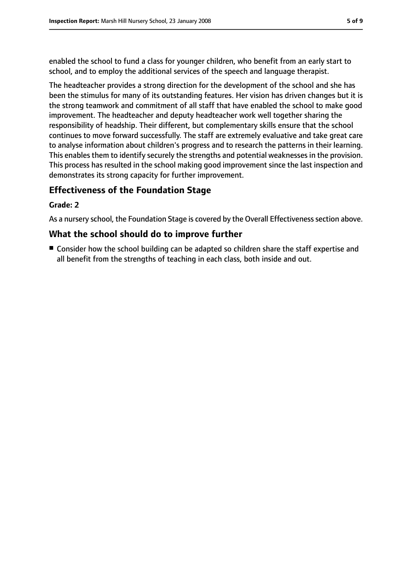enabled the school to fund a class for younger children, who benefit from an early start to school, and to employ the additional services of the speech and language therapist.

The headteacher provides a strong direction for the development of the school and she has been the stimulus for many of its outstanding features. Her vision has driven changes but it is the strong teamwork and commitment of all staff that have enabled the school to make good improvement. The headteacher and deputy headteacher work well together sharing the responsibility of headship. Their different, but complementary skills ensure that the school continues to move forward successfully. The staff are extremely evaluative and take great care to analyse information about children's progress and to research the patterns in their learning. This enables them to identify securely the strengths and potential weaknesses in the provision. This process has resulted in the school making good improvement since the last inspection and demonstrates its strong capacity for further improvement.

#### **Effectiveness of the Foundation Stage**

#### **Grade: 2**

As a nursery school, the Foundation Stage is covered by the Overall Effectiveness section above.

#### **What the school should do to improve further**

■ Consider how the school building can be adapted so children share the staff expertise and all benefit from the strengths of teaching in each class, both inside and out.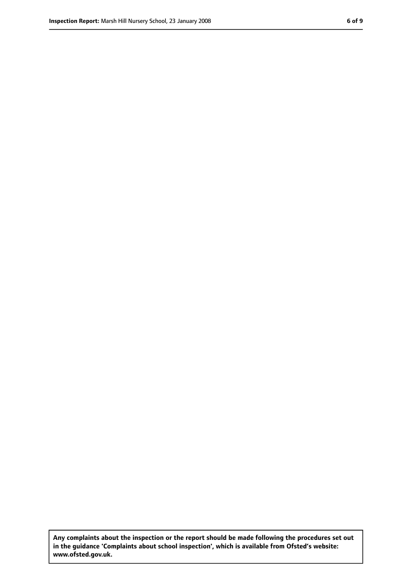**Any complaints about the inspection or the report should be made following the procedures set out in the guidance 'Complaints about school inspection', which is available from Ofsted's website: www.ofsted.gov.uk.**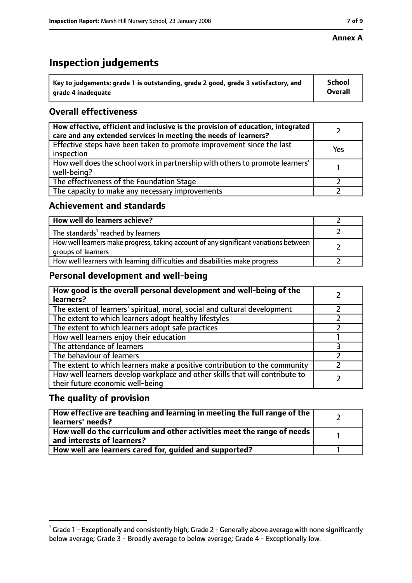#### **Annex A**

# **Inspection judgements**

| $^{\backprime}$ Key to judgements: grade 1 is outstanding, grade 2 good, grade 3 satisfactory, and | <b>School</b>  |
|----------------------------------------------------------------------------------------------------|----------------|
| arade 4 inadequate                                                                                 | <b>Overall</b> |

# **Overall effectiveness**

| How effective, efficient and inclusive is the provision of education, integrated<br>care and any extended services in meeting the needs of learners? |     |
|------------------------------------------------------------------------------------------------------------------------------------------------------|-----|
| Effective steps have been taken to promote improvement since the last<br>inspection                                                                  | Yes |
| How well does the school work in partnership with others to promote learners'<br>well-being?                                                         |     |
| The effectiveness of the Foundation Stage                                                                                                            |     |
| The capacity to make any necessary improvements                                                                                                      |     |

#### **Achievement and standards**

| How well do learners achieve?                                                                               |  |
|-------------------------------------------------------------------------------------------------------------|--|
| The standards <sup>1</sup> reached by learners                                                              |  |
| How well learners make progress, taking account of any significant variations between<br>groups of learners |  |
| How well learners with learning difficulties and disabilities make progress                                 |  |

## **Personal development and well-being**

| How good is the overall personal development and well-being of the<br>learners?                                  |  |
|------------------------------------------------------------------------------------------------------------------|--|
| The extent of learners' spiritual, moral, social and cultural development                                        |  |
| The extent to which learners adopt healthy lifestyles                                                            |  |
| The extent to which learners adopt safe practices                                                                |  |
| How well learners enjoy their education                                                                          |  |
| The attendance of learners                                                                                       |  |
| The behaviour of learners                                                                                        |  |
| The extent to which learners make a positive contribution to the community                                       |  |
| How well learners develop workplace and other skills that will contribute to<br>their future economic well-being |  |

## **The quality of provision**

| How effective are teaching and learning in meeting the full range of the<br>learners' needs?          |  |
|-------------------------------------------------------------------------------------------------------|--|
| How well do the curriculum and other activities meet the range of needs<br>and interests of learners? |  |
| How well are learners cared for, quided and supported?                                                |  |

 $^1$  Grade 1 - Exceptionally and consistently high; Grade 2 - Generally above average with none significantly below average; Grade 3 - Broadly average to below average; Grade 4 - Exceptionally low.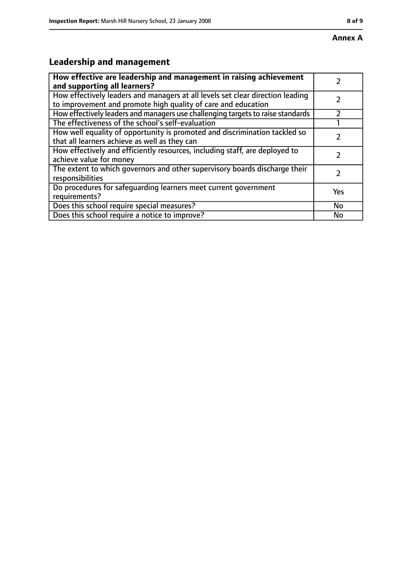# **Leadership and management**

| How effective are leadership and management in raising achievement<br>and supporting all learners?                                              |     |
|-------------------------------------------------------------------------------------------------------------------------------------------------|-----|
| How effectively leaders and managers at all levels set clear direction leading<br>to improvement and promote high quality of care and education |     |
| How effectively leaders and managers use challenging targets to raise standards                                                                 |     |
| The effectiveness of the school's self-evaluation                                                                                               |     |
| How well equality of opportunity is promoted and discrimination tackled so<br>that all learners achieve as well as they can                     |     |
| How effectively and efficiently resources, including staff, are deployed to<br>achieve value for money                                          |     |
| The extent to which governors and other supervisory boards discharge their<br>responsibilities                                                  |     |
| Do procedures for safeguarding learners meet current government<br>requirements?                                                                | Yes |
| Does this school require special measures?                                                                                                      | No  |
| Does this school require a notice to improve?                                                                                                   | No  |